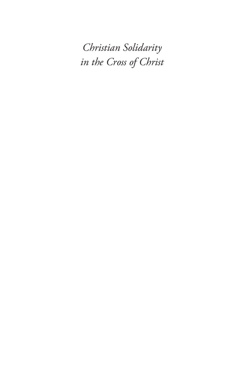*Christian Solidarity in the Cross of Christ*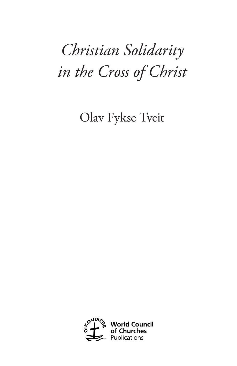# *Christian Solidarity in the Cross of Christ*

Olav Fykse Tveit

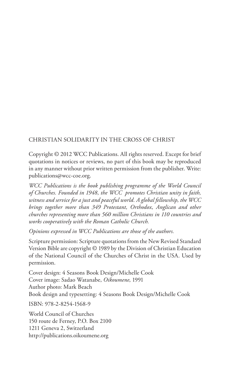#### CHRISTIAN SOLIDARITY IN THE CROSS OF CHRIST

Copyright © 2012 WCC Publications. All rights reserved. Except for brief quotations in notices or reviews, no part of this book may be reproduced in any manner without prior written permission from the publisher. Write: publications@wcc-coe.org.

*WCC Publications is the book publishing programme of the World Council of Churches. Founded in 1948, the WCC promotes Christian unity in faith, witness and service for a just and peaceful world. A global fellowship, the WCC brings together more than 349 Protestant, Orthodox, Anglican and other churches representing more than 560 million Christians in 110 countries and works cooperatively with the Roman Catholic Church.*

*Opinions expressed in WCC Publications are those of the authors.*

Scripture permission: Scripture quotations from the New Revised Standard Version Bible are copyright © 1989 by the Division of Christian Education of the National Council of the Churches of Christ in the USA. Used by permission.

Cover design: 4 Seasons Book Design/Michelle Cook Cover image: Sadao Watanabe, *Oikoumene*, 1991 Author photo: Mark Beach Book design and typesetting: 4 Seasons Book Design/Michelle Cook

ISBN: 978-2-8254-1568-9

World Council of Churches 150 route de Ferney, P.O. Box 2100 1211 Geneva 2, Switzerland http://publications.oikoumene.org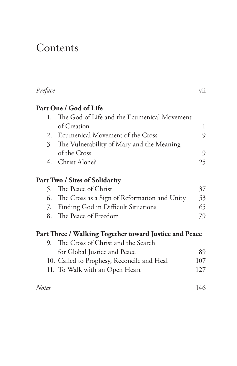### Contents

| Preface |                                                        | vii |
|---------|--------------------------------------------------------|-----|
|         | Part One / God of Life                                 |     |
|         | 1. The God of Life and the Ecumenical Movement         |     |
|         | of Creation                                            | 1   |
|         | 2. Ecumenical Movement of the Cross                    | 9   |
|         | 3. The Vulnerability of Mary and the Meaning           |     |
|         | of the Cross                                           | 19  |
|         | 4. Christ Alone?                                       | 25  |
|         | Part Two / Sites of Solidarity                         |     |
|         | 5. The Peace of Christ                                 | 37  |
|         | 6. The Cross as a Sign of Reformation and Unity        | 53  |
| 7.      | <b>Finding God in Difficult Situations</b>             | 65  |
|         | 8. The Peace of Freedom                                | 79  |
|         | Part Three / Walking Together toward Justice and Peace |     |
|         | 9. The Cross of Christ and the Search                  |     |
|         | for Global Justice and Peace                           | 89  |
|         | 10. Called to Prophesy, Reconcile and Heal             | 107 |
|         | 11. To Walk with an Open Heart                         | 127 |
| Notes   |                                                        | 146 |
|         |                                                        |     |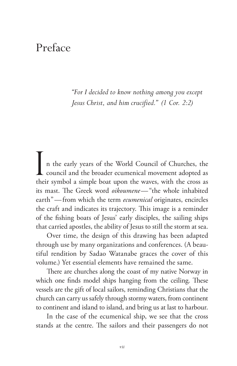### Preface

*"For I decided to know nothing among you except Jesus Christ, and him crucified." (1 Cor. 2:2)*

In the early years of the World Council of Churches, the council and the broader ecumenical movement adopted as their symbol a simple boat upon the waves, with the cross as its mast. The Greek word *oikoumene*—"the whole inhabited earth"—from which the term *ecumenical* originates, encircles the craft and indicates its trajectory. This image is a reminder of the fishing boats of Jesus' early disciples, the sailing ships that carried apostles, the ability of Jesus to still the storm at sea.

Over time, the design of this drawing has been adapted through use by many organizations and conferences. (A beautiful rendition by Sadao Watanabe graces the cover of this volume.) Yet essential elements have remained the same.

There are churches along the coast of my native Norway in which one finds model ships hanging from the ceiling. These vessels are the gift of local sailors, reminding Christians that the church can carry us safely through stormy waters, from continent to continent and island to island, and bring us at last to harbour.

In the case of the ecumenical ship, we see that the cross stands at the centre. The sailors and their passengers do not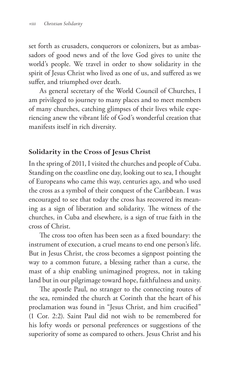set forth as crusaders, conquerors or colonizers, but as ambassadors of good news and of the love God gives to unite the world's people. We travel in order to show solidarity in the spirit of Jesus Christ who lived as one of us, and suffered as we suffer, and triumphed over death.

As general secretary of the World Council of Churches, I am privileged to journey to many places and to meet members of many churches, catching glimpses of their lives while experiencing anew the vibrant life of God's wonderful creation that manifests itself in rich diversity.

### **Solidarity in the Cross of Jesus Christ**

In the spring of 2011, I visited the churches and people of Cuba. Standing on the coastline one day, looking out to sea, I thought of Europeans who came this way, centuries ago, and who used the cross as a symbol of their conquest of the Caribbean. I was encouraged to see that today the cross has recovered its meaning as a sign of liberation and solidarity. The witness of the churches, in Cuba and elsewhere, is a sign of true faith in the cross of Christ.

The cross too often has been seen as a fixed boundary: the instrument of execution, a cruel means to end one person's life. But in Jesus Christ, the cross becomes a signpost pointing the way to a common future, a blessing rather than a curse, the mast of a ship enabling unimagined progress, not in taking land but in our pilgrimage toward hope, faithfulness and unity.

The apostle Paul, no stranger to the connecting routes of the sea, reminded the church at Corinth that the heart of his proclamation was found in "Jesus Christ, and him crucified" (1 Cor. 2:2). Saint Paul did not wish to be remembered for his lofty words or personal preferences or suggestions of the superiority of some as compared to others. Jesus Christ and his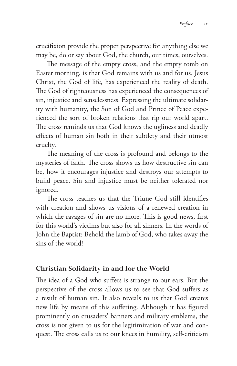crucifixion provide the proper perspective for anything else we may be, do or say about God, the church, our times, ourselves.

The message of the empty cross, and the empty tomb on Easter morning, is that God remains with us and for us. Jesus Christ, the God of life, has experienced the reality of death. The God of righteousness has experienced the consequences of sin, injustice and senselessness. Expressing the ultimate solidarity with humanity, the Son of God and Prince of Peace experienced the sort of broken relations that rip our world apart. The cross reminds us that God knows the ugliness and deadly effects of human sin both in their subtlety and their utmost cruelty.

The meaning of the cross is profound and belongs to the mysteries of faith. The cross shows us how destructive sin can be, how it encourages injustice and destroys our attempts to build peace. Sin and injustice must be neither tolerated nor ignored.

The cross teaches us that the Triune God still identifies with creation and shows us visions of a renewed creation in which the ravages of sin are no more. This is good news, first for this world's victims but also for all sinners. In the words of John the Baptist: Behold the lamb of God, who takes away the sins of the world!

### **Christian Solidarity in and for the World**

The idea of a God who suffers is strange to our ears. But the perspective of the cross allows us to see that God suffers as a result of human sin. It also reveals to us that God creates new life by means of this suffering. Although it has figured prominently on crusaders' banners and military emblems, the cross is not given to us for the legitimization of war and conquest. The cross calls us to our knees in humility, self-criticism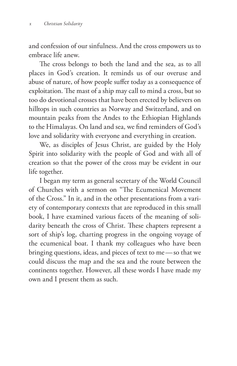and confession of our sinfulness. And the cross empowers us to embrace life anew.

The cross belongs to both the land and the sea, as to all places in God's creation. It reminds us of our overuse and abuse of nature, of how people suffer today as a consequence of exploitation. The mast of a ship may call to mind a cross, but so too do devotional crosses that have been erected by believers on hilltops in such countries as Norway and Switzerland, and on mountain peaks from the Andes to the Ethiopian Highlands to the Himalayas. On land and sea, we find reminders of God's love and solidarity with everyone and everything in creation.

We, as disciples of Jesus Christ, are guided by the Holy Spirit into solidarity with the people of God and with all of creation so that the power of the cross may be evident in our life together.

I began my term as general secretary of the World Council of Churches with a sermon on "The Ecumenical Movement of the Cross." In it, and in the other presentations from a variety of contemporary contexts that are reproduced in this small book, I have examined various facets of the meaning of solidarity beneath the cross of Christ. These chapters represent a sort of ship's log, charting progress in the ongoing voyage of the ecumenical boat. I thank my colleagues who have been bringing questions, ideas, and pieces of text to me—so that we could discuss the map and the sea and the route between the continents together. However, all these words I have made my own and I present them as such.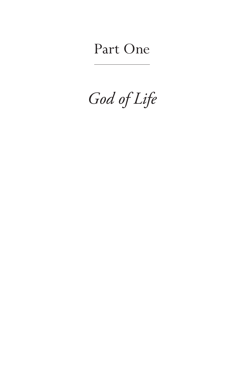## Part One

*God of Life*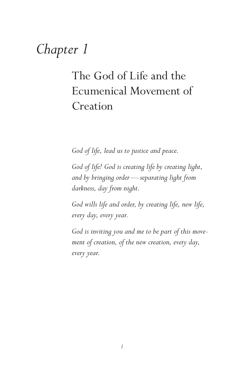## *Chapter 1*

### The God of Life and the Ecumenical Movement of Creation

*God of life, lead us to justice and peace.*

*God of life! God is creating life by creating light, and by bringing order—separating light from darkness, day from night.*

*God wills life and order, by creating life, new life, every day, every year.*

*God is inviting you and me to be part of this movement of creation, of the new creation, every day, every year.*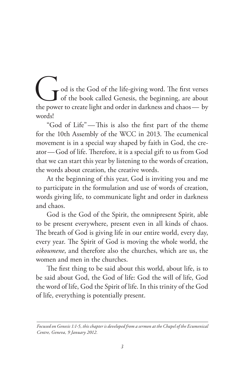od is the God of the life-giving word. The first verses of the book called Genesis, the beginning, are about the power to create light and order in darkness and chaos— by words!

"God of Life"—This is also the first part of the theme for the 10th Assembly of the WCC in 2013. The ecumenical movement is in a special way shaped by faith in God, the creator—God of life. Therefore, it is a special gift to us from God that we can start this year by listening to the words of creation, the words about creation, the creative words.

At the beginning of this year, God is inviting you and me to participate in the formulation and use of words of creation, words giving life, to communicate light and order in darkness and chaos.

God is the God of the Spirit, the omnipresent Spirit, able to be present everywhere, present even in all kinds of chaos. The breath of God is giving life in our entire world, every day, every year. The Spirit of God is moving the whole world, the *oikoumene*, and therefore also the churches, which are us, the women and men in the churches.

The first thing to be said about this world, about life, is to be said about God, the God of life: God the will of life, God the word of life, God the Spirit of life. In this trinity of the God of life, everything is potentially present.

*Focused on Genesis 1:1-5, this chapter is developed from a sermon at the Chapel of the Ecumenical Centre, Geneva, 9 January 2012.*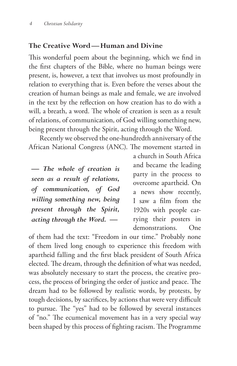#### **The Creative Word—Human and Divine**

This wonderful poem about the beginning, which we find in the first chapters of the Bible, where no human beings were present, is, however, a text that involves us most profoundly in relation to everything that is. Even before the verses about the creation of human beings as male and female, we are involved in the text by the reflection on how creation has to do with a will, a breath, a word. The whole of creation is seen as a result of relations, of communication, of God willing something new, being present through the Spirit, acting through the Word.

Recently we observed the one-hundredth anniversary of the African National Congress (ANC). The movement started in

*— The whole of creation is seen as a result of relations, of communication, of God willing something new, being present through the Spirit, acting through the Word. —*

a church in South Africa and became the leading party in the process to overcome apartheid. On a news show recently, I saw a film from the 1920s with people carrying their posters in demonstrations. One

of them had the text: "Freedom in our time." Probably none of them lived long enough to experience this freedom with apartheid falling and the first black president of South Africa elected. The dream, through the definition of what was needed, was absolutely necessary to start the process, the creative process, the process of bringing the order of justice and peace. The dream had to be followed by realistic words, by protests, by tough decisions, by sacrifices, by actions that were very difficult to pursue. The "yes" had to be followed by several instances of "no." The ecumenical movement has in a very special way been shaped by this process of fighting racism. The Programme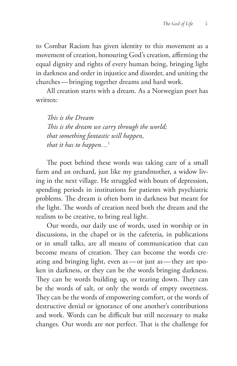to Combat Racism has given identity to this movement as a movement of creation, honouring God's creation, affirming the equal dignity and rights of every human being, bringing light in darkness and order in injustice and disorder, and uniting the churches—bringing together dreams and hard work.

All creation starts with a dream. As a Norwegian poet has written:

*This is the Dream This is the dream we carry through the world; that something fantastic will happen, that it has to happen…*<sup>1</sup>

The poet behind these words was taking care of a small farm and an orchard, just like my grandmother, a widow living in the next village. He struggled with bouts of depression, spending periods in institutions for patients with psychiatric problems. The dream is often born in darkness but meant for the light. The words of creation need both the dream and the realism to be creative, to bring real light.

Our words, our daily use of words, used in worship or in discussions, in the chapel or in the cafeteria, in publications or in small talks, are all means of communication that can become means of creation. They can become the words creating and bringing light, even as—or just as—they are spoken in darkness, or they can be the words bringing darkness. They can be words building up, or tearing down. They can be the words of salt, or only the words of empty sweetness. They can be the words of empowering comfort, or the words of destructive denial or ignorance of one another's contributions and work. Words can be difficult but still necessary to make changes. Our words are not perfect. That is the challenge for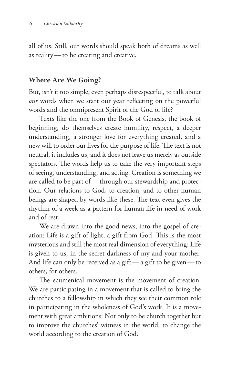all of us. Still, our words should speak both of dreams as well as reality—to be creating and creative.

#### **Where Are We Going?**

But, isn't it too simple, even perhaps disrespectful, to talk about *our* words when we start our year reflecting on the powerful words and the omnipresent Spirit of the God of life?

Texts like the one from the Book of Genesis, the book of beginning, do themselves create humility, respect, a deeper understanding, a stronger love for everything created, and a new will to order our lives for the purpose of life. The text is not neutral, it includes us, and it does not leave us merely as outside spectators. The words help us to take the very important steps of seeing, understanding, and acting. Creation is something we are called to be part of—through our stewardship and protection. Our relations to God, to creation, and to other human beings are shaped by words like these. The text even gives the rhythm of a week as a pattern for human life in need of work and of rest.

We are drawn into the good news, into the gospel of creation: Life is a gift of light, a gift from God. This is the most mysterious and still the most real dimension of everything: Life is given to us, in the secret darkness of my and your mother. And life can only be received as a gift—a gift to be given—to others, for others.

The ecumenical movement is the movement of creation. We are participating in a movement that is called to bring the churches to a fellowship in which they see their common role in participating in the wholeness of God's work. It is a movement with great ambitions: Not only to be church together but to improve the churches' witness in the world, to change the world according to the creation of God.